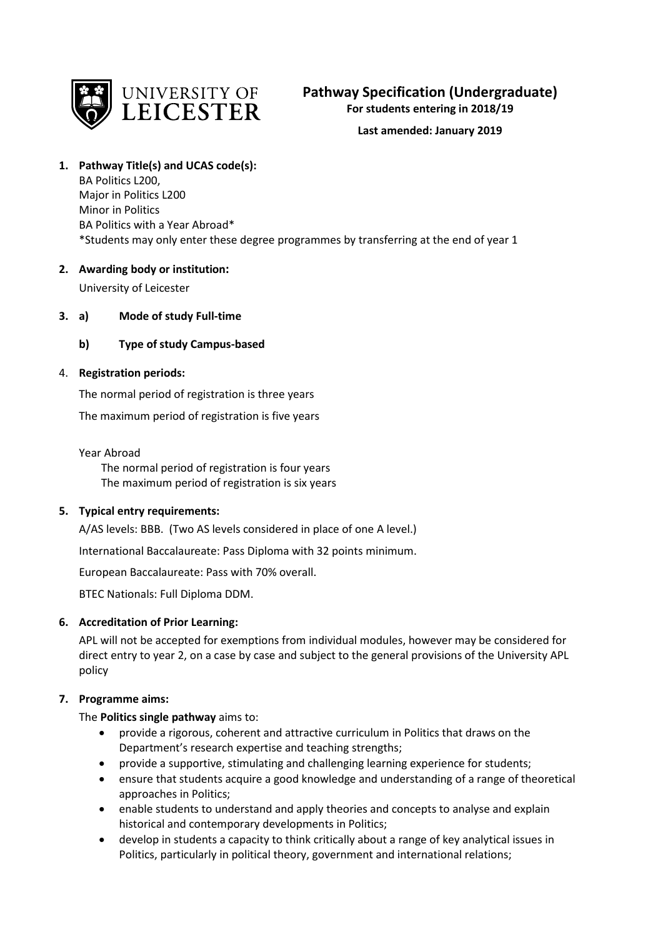

# **Pathway Specification (Undergraduate)**

**For students entering in 2018/19**

# **Last amended: January 2019**

# **1. Pathway Title(s) and UCAS code(s):**

BA Politics L200, Major in Politics L200 Minor in Politics BA Politics with a Year Abroad\* \*Students may only enter these degree programmes by transferring at the end of year 1

# **2. Awarding body or institution:**

University of Leicester

# **3. a) Mode of study Full-time**

# **b) Type of study Campus-based**

# 4. **Registration periods:**

The normal period of registration is three years

The maximum period of registration is five years

### Year Abroad

 The normal period of registration is four years The maximum period of registration is six years

# **5. Typical entry requirements:**

A/AS levels: BBB. (Two AS levels considered in place of one A level.)

International Baccalaureate: Pass Diploma with 32 points minimum.

European Baccalaureate: Pass with 70% overall.

BTEC Nationals: Full Diploma DDM.

# **6. Accreditation of Prior Learning:**

APL will not be accepted for exemptions from individual modules, however may be considered for direct entry to year 2, on a case by case and subject to the general provisions of the University APL policy

# **7. Programme aims:**

The **Politics single pathway** aims to:

- provide a rigorous, coherent and attractive curriculum in Politics that draws on the Department's research expertise and teaching strengths;
- provide a supportive, stimulating and challenging learning experience for students;
- ensure that students acquire a good knowledge and understanding of a range of theoretical approaches in Politics;
- enable students to understand and apply theories and concepts to analyse and explain historical and contemporary developments in Politics;
- develop in students a capacity to think critically about a range of key analytical issues in Politics, particularly in political theory, government and international relations;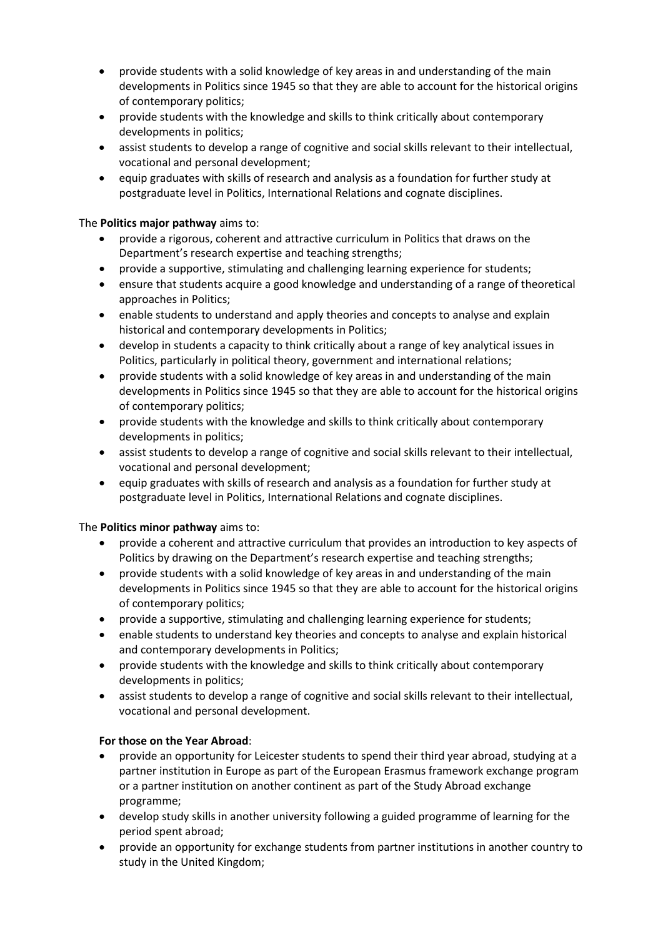- provide students with a solid knowledge of key areas in and understanding of the main developments in Politics since 1945 so that they are able to account for the historical origins of contemporary politics;
- provide students with the knowledge and skills to think critically about contemporary developments in politics;
- assist students to develop a range of cognitive and social skills relevant to their intellectual, vocational and personal development;
- equip graduates with skills of research and analysis as a foundation for further study at postgraduate level in Politics, International Relations and cognate disciplines.

# The **Politics major pathway** aims to:

- provide a rigorous, coherent and attractive curriculum in Politics that draws on the Department's research expertise and teaching strengths;
- provide a supportive, stimulating and challenging learning experience for students;
- ensure that students acquire a good knowledge and understanding of a range of theoretical approaches in Politics;
- enable students to understand and apply theories and concepts to analyse and explain historical and contemporary developments in Politics;
- develop in students a capacity to think critically about a range of key analytical issues in Politics, particularly in political theory, government and international relations;
- provide students with a solid knowledge of key areas in and understanding of the main developments in Politics since 1945 so that they are able to account for the historical origins of contemporary politics;
- provide students with the knowledge and skills to think critically about contemporary developments in politics;
- assist students to develop a range of cognitive and social skills relevant to their intellectual, vocational and personal development;
- equip graduates with skills of research and analysis as a foundation for further study at postgraduate level in Politics, International Relations and cognate disciplines.

### The **Politics minor pathway** aims to:

- provide a coherent and attractive curriculum that provides an introduction to key aspects of Politics by drawing on the Department's research expertise and teaching strengths;
- provide students with a solid knowledge of key areas in and understanding of the main developments in Politics since 1945 so that they are able to account for the historical origins of contemporary politics;
- provide a supportive, stimulating and challenging learning experience for students;
- enable students to understand key theories and concepts to analyse and explain historical and contemporary developments in Politics;
- provide students with the knowledge and skills to think critically about contemporary developments in politics;
- assist students to develop a range of cognitive and social skills relevant to their intellectual, vocational and personal development.

### **For those on the Year Abroad**:

- provide an opportunity for Leicester students to spend their third year abroad, studying at a partner institution in Europe as part of the European Erasmus framework exchange program or a partner institution on another continent as part of the Study Abroad exchange programme;
- develop study skills in another university following a guided programme of learning for the period spent abroad;
- provide an opportunity for exchange students from partner institutions in another country to study in the United Kingdom;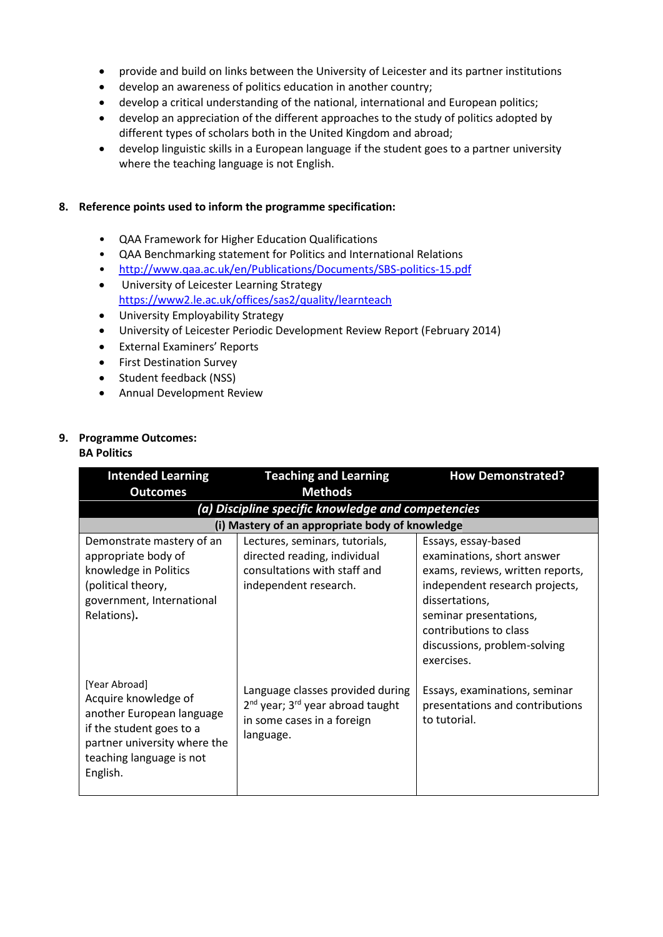- provide and build on links between the University of Leicester and its partner institutions
- develop an awareness of politics education in another country;
- develop a critical understanding of the national, international and European politics;
- develop an appreciation of the different approaches to the study of politics adopted by different types of scholars both in the United Kingdom and abroad;
- develop linguistic skills in a European language if the student goes to a partner university where the teaching language is not English.

### **8. Reference points used to inform the programme specification:**

- QAA Framework for Higher Education Qualifications
- QAA Benchmarking statement for Politics and International Relations
- <http://www.qaa.ac.uk/en/Publications/Documents/SBS-politics-15.pdf>
- University of Leicester Learning Strategy <https://www2.le.ac.uk/offices/sas2/quality/learnteach>
- University Employability Strategy
- University of Leicester Periodic Development Review Report (February 2014)
- External Examiners' Reports
- First Destination Survey
- Student feedback (NSS)
- Annual Development Review

# **9. Programme Outcomes:**

#### **BA Politics**

| <b>Intended Learning</b>                                                                                                                                               | <b>Teaching and Learning</b>                                                                                                            | <b>How Demonstrated?</b>                                                                                                                                                                                                                    |
|------------------------------------------------------------------------------------------------------------------------------------------------------------------------|-----------------------------------------------------------------------------------------------------------------------------------------|---------------------------------------------------------------------------------------------------------------------------------------------------------------------------------------------------------------------------------------------|
| <b>Outcomes</b>                                                                                                                                                        | <b>Methods</b>                                                                                                                          |                                                                                                                                                                                                                                             |
|                                                                                                                                                                        | (a) Discipline specific knowledge and competencies                                                                                      |                                                                                                                                                                                                                                             |
|                                                                                                                                                                        | (i) Mastery of an appropriate body of knowledge                                                                                         |                                                                                                                                                                                                                                             |
| Demonstrate mastery of an<br>appropriate body of<br>knowledge in Politics<br>(political theory,<br>government, International<br>Relations).                            | Lectures, seminars, tutorials,<br>directed reading, individual<br>consultations with staff and<br>independent research.                 | Essays, essay-based<br>examinations, short answer<br>exams, reviews, written reports,<br>independent research projects,<br>dissertations,<br>seminar presentations,<br>contributions to class<br>discussions, problem-solving<br>exercises. |
| [Year Abroad]<br>Acquire knowledge of<br>another European language<br>if the student goes to a<br>partner university where the<br>teaching language is not<br>English. | Language classes provided during<br>2 <sup>nd</sup> year; 3 <sup>rd</sup> year abroad taught<br>in some cases in a foreign<br>language. | Essays, examinations, seminar<br>presentations and contributions<br>to tutorial.                                                                                                                                                            |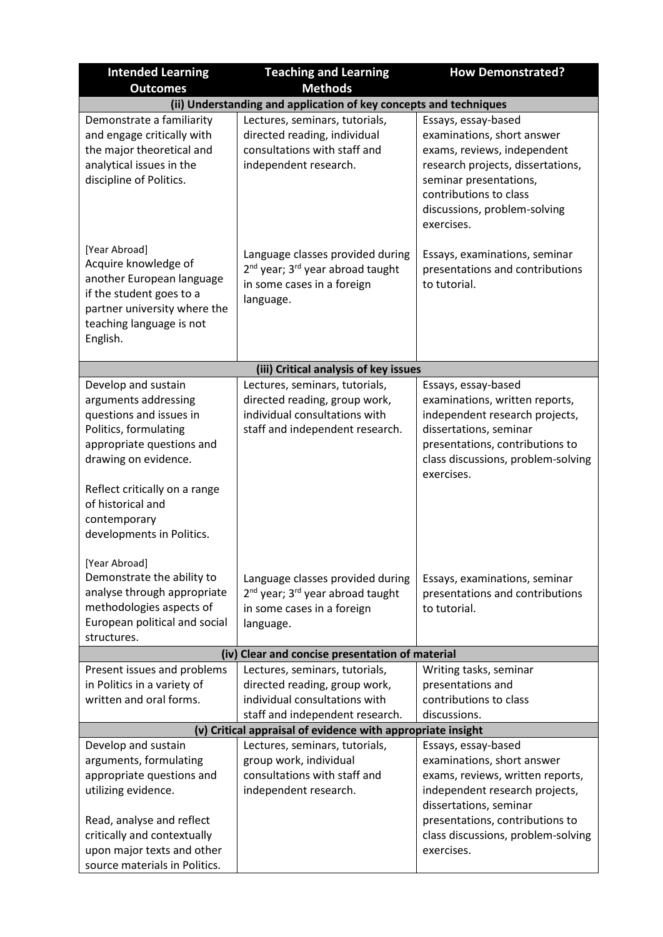| <b>Intended Learning</b>                                                                                                                                                                                                                                | <b>Teaching and Learning</b>                                                                                                            | <b>How Demonstrated?</b>                                                                                                                                                                                                   |
|---------------------------------------------------------------------------------------------------------------------------------------------------------------------------------------------------------------------------------------------------------|-----------------------------------------------------------------------------------------------------------------------------------------|----------------------------------------------------------------------------------------------------------------------------------------------------------------------------------------------------------------------------|
| <b>Outcomes</b>                                                                                                                                                                                                                                         | <b>Methods</b>                                                                                                                          |                                                                                                                                                                                                                            |
|                                                                                                                                                                                                                                                         | (ii) Understanding and application of key concepts and techniques                                                                       |                                                                                                                                                                                                                            |
| Demonstrate a familiarity<br>and engage critically with<br>the major theoretical and<br>analytical issues in the<br>discipline of Politics.                                                                                                             | Lectures, seminars, tutorials,<br>directed reading, individual<br>consultations with staff and<br>independent research.                 | Essays, essay-based<br>examinations, short answer<br>exams, reviews, independent<br>research projects, dissertations,<br>seminar presentations,<br>contributions to class<br>discussions, problem-solving<br>exercises.    |
| [Year Abroad]<br>Acquire knowledge of<br>another European language<br>if the student goes to a<br>partner university where the<br>teaching language is not<br>English.                                                                                  | Language classes provided during<br>2 <sup>nd</sup> year; 3 <sup>rd</sup> year abroad taught<br>in some cases in a foreign<br>language. | Essays, examinations, seminar<br>presentations and contributions<br>to tutorial.                                                                                                                                           |
|                                                                                                                                                                                                                                                         | (iii) Critical analysis of key issues                                                                                                   |                                                                                                                                                                                                                            |
| Develop and sustain<br>arguments addressing<br>questions and issues in<br>Politics, formulating<br>appropriate questions and<br>drawing on evidence.<br>Reflect critically on a range<br>of historical and<br>contemporary<br>developments in Politics. | Lectures, seminars, tutorials,<br>directed reading, group work,<br>individual consultations with<br>staff and independent research.     | Essays, essay-based<br>examinations, written reports,<br>independent research projects,<br>dissertations, seminar<br>presentations, contributions to<br>class discussions, problem-solving<br>exercises.                   |
| [Year Abroad]<br>Demonstrate the ability to<br>analyse through appropriate<br>methodologies aspects of<br>European political and social<br>structures.                                                                                                  | Language classes provided during<br>2 <sup>nd</sup> year; 3 <sup>rd</sup> year abroad taught<br>in some cases in a foreign<br>language. | Essays, examinations, seminar<br>presentations and contributions<br>to tutorial.                                                                                                                                           |
|                                                                                                                                                                                                                                                         | (iv) Clear and concise presentation of material                                                                                         |                                                                                                                                                                                                                            |
| Present issues and problems<br>in Politics in a variety of<br>written and oral forms.                                                                                                                                                                   | Lectures, seminars, tutorials,<br>directed reading, group work,<br>individual consultations with<br>staff and independent research.     | Writing tasks, seminar<br>presentations and<br>contributions to class<br>discussions.                                                                                                                                      |
|                                                                                                                                                                                                                                                         | (v) Critical appraisal of evidence with appropriate insight                                                                             |                                                                                                                                                                                                                            |
| Develop and sustain<br>arguments, formulating<br>appropriate questions and<br>utilizing evidence.<br>Read, analyse and reflect<br>critically and contextually                                                                                           | Lectures, seminars, tutorials,<br>group work, individual<br>consultations with staff and<br>independent research.                       | Essays, essay-based<br>examinations, short answer<br>exams, reviews, written reports,<br>independent research projects,<br>dissertations, seminar<br>presentations, contributions to<br>class discussions, problem-solving |
| upon major texts and other<br>source materials in Politics.                                                                                                                                                                                             |                                                                                                                                         | exercises.                                                                                                                                                                                                                 |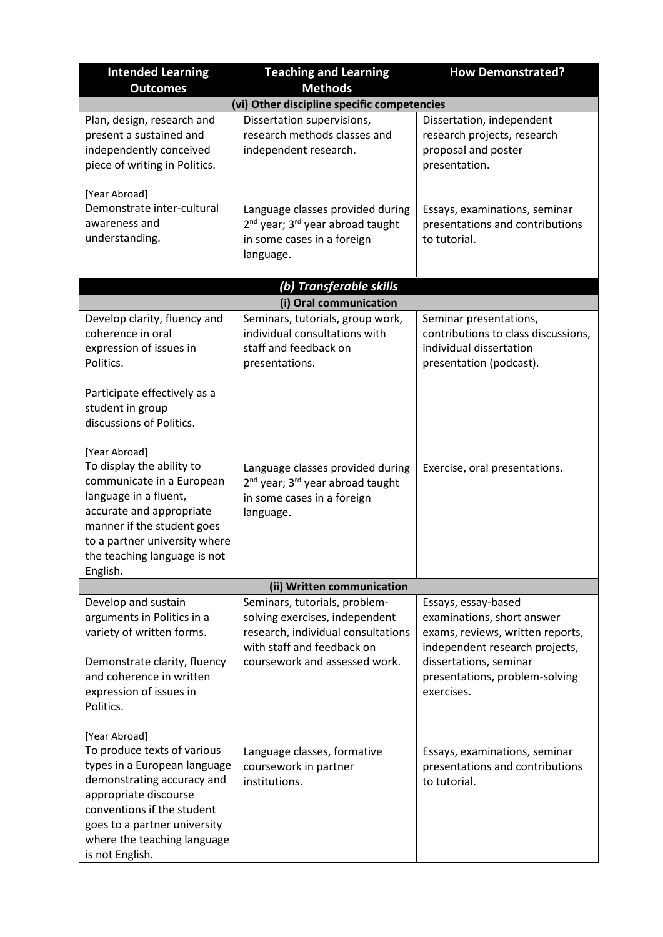| <b>Intended Learning</b>                                                                                                                                                                                                                            | <b>Teaching and Learning</b>                                                                                                                                         | <b>How Demonstrated?</b>                                                                                                                                                                          |
|-----------------------------------------------------------------------------------------------------------------------------------------------------------------------------------------------------------------------------------------------------|----------------------------------------------------------------------------------------------------------------------------------------------------------------------|---------------------------------------------------------------------------------------------------------------------------------------------------------------------------------------------------|
| <b>Outcomes</b>                                                                                                                                                                                                                                     | <b>Methods</b>                                                                                                                                                       |                                                                                                                                                                                                   |
|                                                                                                                                                                                                                                                     | (vi) Other discipline specific competencies                                                                                                                          |                                                                                                                                                                                                   |
| Plan, design, research and<br>present a sustained and<br>independently conceived<br>piece of writing in Politics.                                                                                                                                   | Dissertation supervisions,<br>research methods classes and<br>independent research.                                                                                  | Dissertation, independent<br>research projects, research<br>proposal and poster<br>presentation.                                                                                                  |
| [Year Abroad]<br>Demonstrate inter-cultural<br>awareness and<br>understanding.                                                                                                                                                                      | Language classes provided during<br>2 <sup>nd</sup> year; 3 <sup>rd</sup> year abroad taught<br>in some cases in a foreign<br>language.                              | Essays, examinations, seminar<br>presentations and contributions<br>to tutorial.                                                                                                                  |
|                                                                                                                                                                                                                                                     | (b) Transferable skills                                                                                                                                              |                                                                                                                                                                                                   |
|                                                                                                                                                                                                                                                     | (i) Oral communication                                                                                                                                               |                                                                                                                                                                                                   |
| Develop clarity, fluency and<br>coherence in oral<br>expression of issues in<br>Politics.                                                                                                                                                           | Seminars, tutorials, group work,<br>individual consultations with<br>staff and feedback on<br>presentations.                                                         | Seminar presentations,<br>contributions to class discussions,<br>individual dissertation<br>presentation (podcast).                                                                               |
| Participate effectively as a<br>student in group<br>discussions of Politics.                                                                                                                                                                        |                                                                                                                                                                      |                                                                                                                                                                                                   |
| [Year Abroad]<br>To display the ability to<br>communicate in a European<br>language in a fluent,<br>accurate and appropriate<br>manner if the student goes<br>to a partner university where<br>the teaching language is not<br>English.             | Language classes provided during<br>2 <sup>nd</sup> year; 3 <sup>rd</sup> year abroad taught<br>in some cases in a foreign<br>language.                              | Exercise, oral presentations.                                                                                                                                                                     |
|                                                                                                                                                                                                                                                     | (ii) Written communication                                                                                                                                           |                                                                                                                                                                                                   |
| Develop and sustain<br>arguments in Politics in a<br>variety of written forms.<br>Demonstrate clarity, fluency<br>and coherence in written<br>expression of issues in<br>Politics.                                                                  | Seminars, tutorials, problem-<br>solving exercises, independent<br>research, individual consultations<br>with staff and feedback on<br>coursework and assessed work. | Essays, essay-based<br>examinations, short answer<br>exams, reviews, written reports,<br>independent research projects,<br>dissertations, seminar<br>presentations, problem-solving<br>exercises. |
| [Year Abroad]<br>To produce texts of various<br>types in a European language<br>demonstrating accuracy and<br>appropriate discourse<br>conventions if the student<br>goes to a partner university<br>where the teaching language<br>is not English. | Language classes, formative<br>coursework in partner<br>institutions.                                                                                                | Essays, examinations, seminar<br>presentations and contributions<br>to tutorial.                                                                                                                  |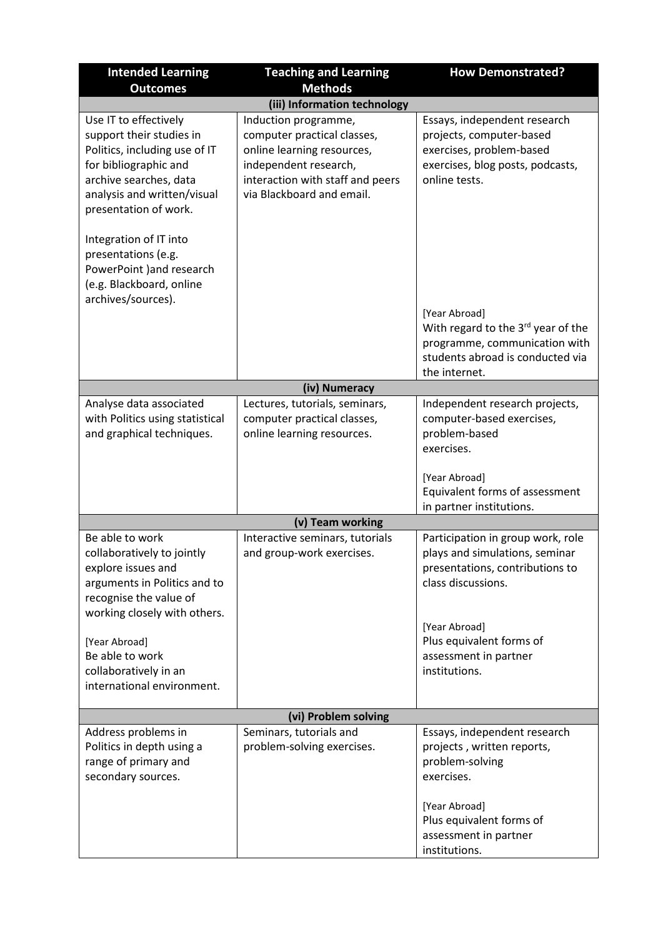| <b>Intended Learning</b>                                                                                                                                                                      | <b>Teaching and Learning</b>                                                                                                                                                | <b>How Demonstrated?</b>                                                                                                                  |
|-----------------------------------------------------------------------------------------------------------------------------------------------------------------------------------------------|-----------------------------------------------------------------------------------------------------------------------------------------------------------------------------|-------------------------------------------------------------------------------------------------------------------------------------------|
| <b>Outcomes</b>                                                                                                                                                                               | <b>Methods</b>                                                                                                                                                              |                                                                                                                                           |
|                                                                                                                                                                                               | (iii) Information technology                                                                                                                                                |                                                                                                                                           |
| Use IT to effectively<br>support their studies in<br>Politics, including use of IT<br>for bibliographic and<br>archive searches, data<br>analysis and written/visual<br>presentation of work. | Induction programme,<br>computer practical classes,<br>online learning resources,<br>independent research,<br>interaction with staff and peers<br>via Blackboard and email. | Essays, independent research<br>projects, computer-based<br>exercises, problem-based<br>exercises, blog posts, podcasts,<br>online tests. |
| Integration of IT into<br>presentations (e.g.<br>PowerPoint ) and research<br>(e.g. Blackboard, online<br>archives/sources).                                                                  |                                                                                                                                                                             |                                                                                                                                           |
|                                                                                                                                                                                               |                                                                                                                                                                             | [Year Abroad]<br>With regard to the 3rd year of the<br>programme, communication with<br>students abroad is conducted via                  |
|                                                                                                                                                                                               |                                                                                                                                                                             | the internet.                                                                                                                             |
|                                                                                                                                                                                               | (iv) Numeracy                                                                                                                                                               |                                                                                                                                           |
| Analyse data associated<br>with Politics using statistical<br>and graphical techniques.                                                                                                       | Lectures, tutorials, seminars,<br>computer practical classes,<br>online learning resources.                                                                                 | Independent research projects,<br>computer-based exercises,<br>problem-based<br>exercises.                                                |
|                                                                                                                                                                                               |                                                                                                                                                                             | [Year Abroad]<br>Equivalent forms of assessment<br>in partner institutions.                                                               |
|                                                                                                                                                                                               | (v) Team working                                                                                                                                                            |                                                                                                                                           |
| Be able to work<br>collaboratively to jointly<br>explore issues and<br>arguments in Politics and to<br>recognise the value of<br>working closely with others.                                 | Interactive seminars, tutorials<br>and group-work exercises.                                                                                                                | Participation in group work, role<br>plays and simulations, seminar<br>presentations, contributions to<br>class discussions.              |
| [Year Abroad]<br>Be able to work<br>collaboratively in an<br>international environment.                                                                                                       |                                                                                                                                                                             | [Year Abroad]<br>Plus equivalent forms of<br>assessment in partner<br>institutions.                                                       |
| (vi) Problem solving                                                                                                                                                                          |                                                                                                                                                                             |                                                                                                                                           |
| Address problems in<br>Politics in depth using a<br>range of primary and<br>secondary sources.                                                                                                | Seminars, tutorials and<br>problem-solving exercises.                                                                                                                       | Essays, independent research<br>projects, written reports,<br>problem-solving<br>exercises.<br>[Year Abroad]<br>Plus equivalent forms of  |
|                                                                                                                                                                                               |                                                                                                                                                                             | assessment in partner<br>institutions.                                                                                                    |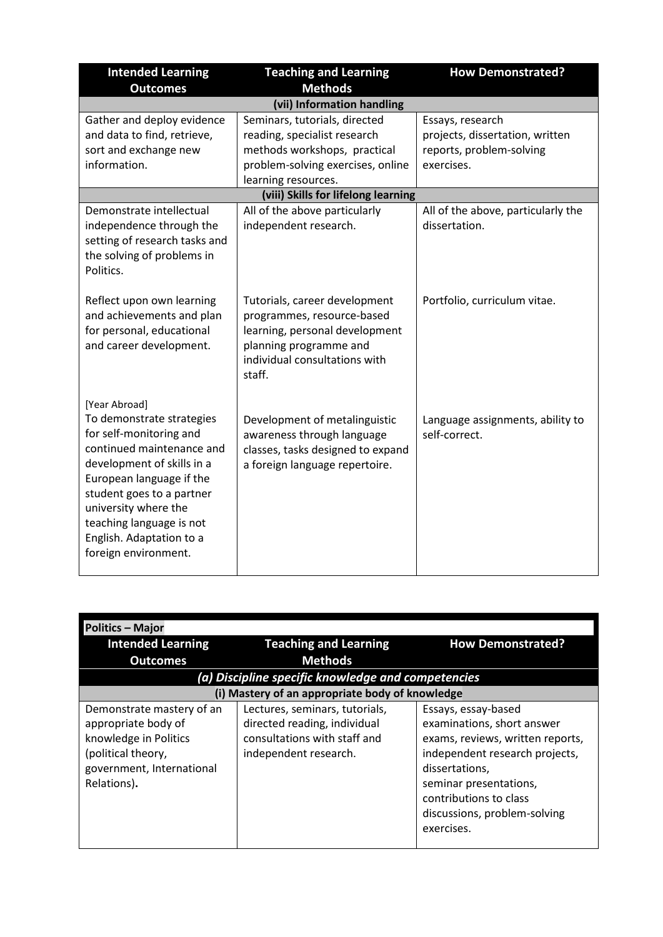| <b>Intended Learning</b><br><b>Outcomes</b>                                                                                                                                                                                                                                                       | <b>Teaching and Learning</b><br><b>Methods</b>                                                                                                                                                                                    | <b>How Demonstrated?</b>                                                                                                            |
|---------------------------------------------------------------------------------------------------------------------------------------------------------------------------------------------------------------------------------------------------------------------------------------------------|-----------------------------------------------------------------------------------------------------------------------------------------------------------------------------------------------------------------------------------|-------------------------------------------------------------------------------------------------------------------------------------|
|                                                                                                                                                                                                                                                                                                   | (vii) Information handling                                                                                                                                                                                                        |                                                                                                                                     |
| Gather and deploy evidence<br>and data to find, retrieve,<br>sort and exchange new<br>information.<br>Demonstrate intellectual                                                                                                                                                                    | Seminars, tutorials, directed<br>reading, specialist research<br>methods workshops, practical<br>problem-solving exercises, online<br>learning resources.<br>(viii) Skills for lifelong learning<br>All of the above particularly | Essays, research<br>projects, dissertation, written<br>reports, problem-solving<br>exercises.<br>All of the above, particularly the |
| independence through the<br>setting of research tasks and<br>the solving of problems in<br>Politics.                                                                                                                                                                                              | independent research.                                                                                                                                                                                                             | dissertation.                                                                                                                       |
| Reflect upon own learning<br>and achievements and plan<br>for personal, educational<br>and career development.                                                                                                                                                                                    | Tutorials, career development<br>programmes, resource-based<br>learning, personal development<br>planning programme and<br>individual consultations with<br>staff.                                                                | Portfolio, curriculum vitae.                                                                                                        |
| [Year Abroad]<br>To demonstrate strategies<br>for self-monitoring and<br>continued maintenance and<br>development of skills in a<br>European language if the<br>student goes to a partner<br>university where the<br>teaching language is not<br>English. Adaptation to a<br>foreign environment. | Development of metalinguistic<br>awareness through language<br>classes, tasks designed to expand<br>a foreign language repertoire.                                                                                                | Language assignments, ability to<br>self-correct.                                                                                   |

| <b>Politics - Major</b>                                                                                                                     |                                                                                                                         |                                                                                                                                                                                                                                             |
|---------------------------------------------------------------------------------------------------------------------------------------------|-------------------------------------------------------------------------------------------------------------------------|---------------------------------------------------------------------------------------------------------------------------------------------------------------------------------------------------------------------------------------------|
| <b>Intended Learning</b>                                                                                                                    | <b>Teaching and Learning</b>                                                                                            | <b>How Demonstrated?</b>                                                                                                                                                                                                                    |
| <b>Outcomes</b>                                                                                                                             | <b>Methods</b>                                                                                                          |                                                                                                                                                                                                                                             |
|                                                                                                                                             | (a) Discipline specific knowledge and competencies                                                                      |                                                                                                                                                                                                                                             |
|                                                                                                                                             | (i) Mastery of an appropriate body of knowledge                                                                         |                                                                                                                                                                                                                                             |
| Demonstrate mastery of an<br>appropriate body of<br>knowledge in Politics<br>(political theory,<br>government, International<br>Relations). | Lectures, seminars, tutorials,<br>directed reading, individual<br>consultations with staff and<br>independent research. | Essays, essay-based<br>examinations, short answer<br>exams, reviews, written reports,<br>independent research projects,<br>dissertations.<br>seminar presentations,<br>contributions to class<br>discussions, problem-solving<br>exercises. |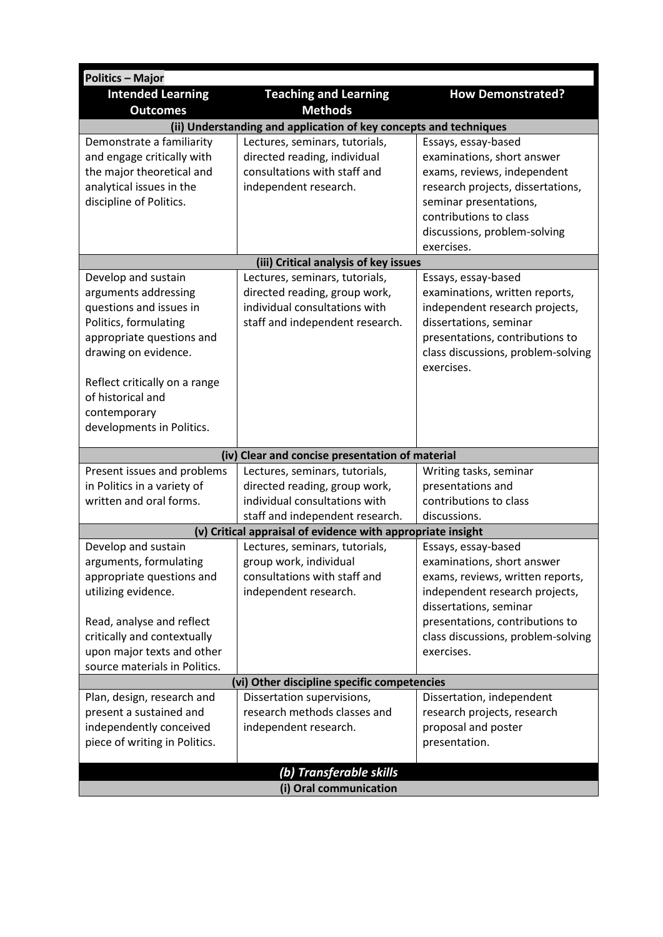| <b>Politics - Major</b>                                  |                                                                   |                                                           |  |
|----------------------------------------------------------|-------------------------------------------------------------------|-----------------------------------------------------------|--|
| <b>Intended Learning</b>                                 | <b>Teaching and Learning</b>                                      | <b>How Demonstrated?</b>                                  |  |
| <b>Outcomes</b>                                          | <b>Methods</b>                                                    |                                                           |  |
|                                                          | (ii) Understanding and application of key concepts and techniques |                                                           |  |
| Demonstrate a familiarity                                | Lectures, seminars, tutorials,                                    | Essays, essay-based                                       |  |
| and engage critically with                               | directed reading, individual                                      | examinations, short answer                                |  |
| the major theoretical and                                | consultations with staff and                                      | exams, reviews, independent                               |  |
| analytical issues in the                                 | independent research.                                             | research projects, dissertations,                         |  |
| discipline of Politics.                                  |                                                                   | seminar presentations,                                    |  |
|                                                          |                                                                   | contributions to class                                    |  |
|                                                          |                                                                   | discussions, problem-solving<br>exercises.                |  |
|                                                          | (iii) Critical analysis of key issues                             |                                                           |  |
| Develop and sustain                                      | Lectures, seminars, tutorials,                                    | Essays, essay-based                                       |  |
| arguments addressing                                     | directed reading, group work,                                     | examinations, written reports,                            |  |
| questions and issues in                                  | individual consultations with                                     | independent research projects,                            |  |
| Politics, formulating                                    | staff and independent research.                                   | dissertations, seminar                                    |  |
| appropriate questions and                                |                                                                   | presentations, contributions to                           |  |
| drawing on evidence.                                     |                                                                   | class discussions, problem-solving                        |  |
|                                                          |                                                                   | exercises.                                                |  |
| Reflect critically on a range                            |                                                                   |                                                           |  |
| of historical and                                        |                                                                   |                                                           |  |
| contemporary                                             |                                                                   |                                                           |  |
| developments in Politics.                                |                                                                   |                                                           |  |
|                                                          | (iv) Clear and concise presentation of material                   |                                                           |  |
| Present issues and problems                              | Lectures, seminars, tutorials,                                    | Writing tasks, seminar                                    |  |
| in Politics in a variety of                              | directed reading, group work,                                     | presentations and                                         |  |
| written and oral forms.                                  | individual consultations with                                     | contributions to class                                    |  |
|                                                          | staff and independent research.                                   | discussions.                                              |  |
|                                                          | (v) Critical appraisal of evidence with appropriate insight       |                                                           |  |
| Develop and sustain                                      | Lectures, seminars, tutorials,                                    | Essays, essay-based                                       |  |
| arguments, formulating                                   | group work, individual                                            | examinations, short answer                                |  |
| appropriate questions and                                | consultations with staff and                                      | exams, reviews, written reports,                          |  |
| utilizing evidence.                                      | independent research.                                             | independent research projects,                            |  |
|                                                          |                                                                   | dissertations, seminar<br>presentations, contributions to |  |
| Read, analyse and reflect<br>critically and contextually |                                                                   | class discussions, problem-solving                        |  |
| upon major texts and other                               |                                                                   | exercises.                                                |  |
| source materials in Politics.                            |                                                                   |                                                           |  |
| (vi) Other discipline specific competencies              |                                                                   |                                                           |  |
| Plan, design, research and                               | Dissertation supervisions,                                        | Dissertation, independent                                 |  |
| present a sustained and                                  | research methods classes and                                      | research projects, research                               |  |
| independently conceived                                  | independent research.                                             | proposal and poster                                       |  |
| piece of writing in Politics.                            |                                                                   | presentation.                                             |  |
|                                                          |                                                                   |                                                           |  |
|                                                          | (b) Transferable skills                                           |                                                           |  |
| (i) Oral communication                                   |                                                                   |                                                           |  |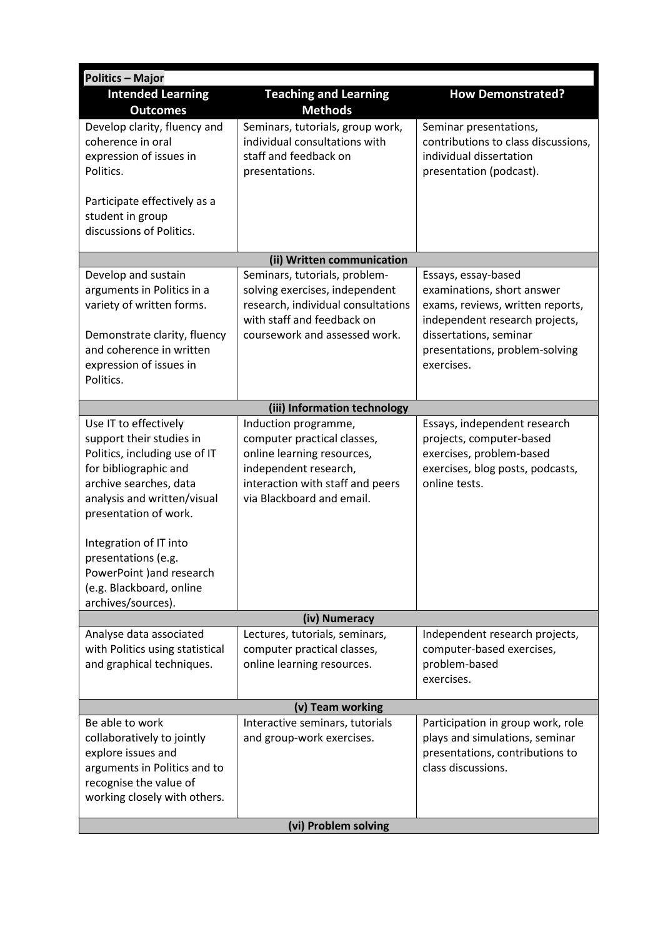| <b>Politics - Major</b>                                                                                                                                                                                                                                                                                                       |                                                                                                                                                                             |                                                                                                                                                                                                   |
|-------------------------------------------------------------------------------------------------------------------------------------------------------------------------------------------------------------------------------------------------------------------------------------------------------------------------------|-----------------------------------------------------------------------------------------------------------------------------------------------------------------------------|---------------------------------------------------------------------------------------------------------------------------------------------------------------------------------------------------|
| <b>Intended Learning</b><br><b>Outcomes</b>                                                                                                                                                                                                                                                                                   | <b>Teaching and Learning</b><br><b>Methods</b>                                                                                                                              | <b>How Demonstrated?</b>                                                                                                                                                                          |
| Develop clarity, fluency and<br>coherence in oral<br>expression of issues in<br>Politics.<br>Participate effectively as a<br>student in group<br>discussions of Politics.                                                                                                                                                     | Seminars, tutorials, group work,<br>individual consultations with<br>staff and feedback on<br>presentations.                                                                | Seminar presentations,<br>contributions to class discussions,<br>individual dissertation<br>presentation (podcast).                                                                               |
|                                                                                                                                                                                                                                                                                                                               | (ii) Written communication                                                                                                                                                  |                                                                                                                                                                                                   |
| Develop and sustain<br>arguments in Politics in a<br>variety of written forms.<br>Demonstrate clarity, fluency<br>and coherence in written<br>expression of issues in<br>Politics.                                                                                                                                            | Seminars, tutorials, problem-<br>solving exercises, independent<br>research, individual consultations<br>with staff and feedback on<br>coursework and assessed work.        | Essays, essay-based<br>examinations, short answer<br>exams, reviews, written reports,<br>independent research projects,<br>dissertations, seminar<br>presentations, problem-solving<br>exercises. |
|                                                                                                                                                                                                                                                                                                                               | (iii) Information technology                                                                                                                                                |                                                                                                                                                                                                   |
| Use IT to effectively<br>support their studies in<br>Politics, including use of IT<br>for bibliographic and<br>archive searches, data<br>analysis and written/visual<br>presentation of work.<br>Integration of IT into<br>presentations (e.g.<br>PowerPoint ) and research<br>(e.g. Blackboard, online<br>archives/sources). | Induction programme,<br>computer practical classes,<br>online learning resources,<br>independent research,<br>interaction with staff and peers<br>via Blackboard and email. | Essays, independent research<br>projects, computer-based<br>exercises, problem-based<br>exercises, blog posts, podcasts,<br>online tests.                                                         |
|                                                                                                                                                                                                                                                                                                                               | (iv) Numeracy                                                                                                                                                               |                                                                                                                                                                                                   |
| Analyse data associated<br>with Politics using statistical<br>and graphical techniques.                                                                                                                                                                                                                                       | Lectures, tutorials, seminars,<br>computer practical classes,<br>online learning resources.                                                                                 | Independent research projects,<br>computer-based exercises,<br>problem-based<br>exercises.                                                                                                        |
| (v) Team working                                                                                                                                                                                                                                                                                                              |                                                                                                                                                                             |                                                                                                                                                                                                   |
| Be able to work<br>collaboratively to jointly<br>explore issues and<br>arguments in Politics and to<br>recognise the value of<br>working closely with others.                                                                                                                                                                 | Interactive seminars, tutorials<br>and group-work exercises.                                                                                                                | Participation in group work, role<br>plays and simulations, seminar<br>presentations, contributions to<br>class discussions.                                                                      |
| (vi) Problem solving                                                                                                                                                                                                                                                                                                          |                                                                                                                                                                             |                                                                                                                                                                                                   |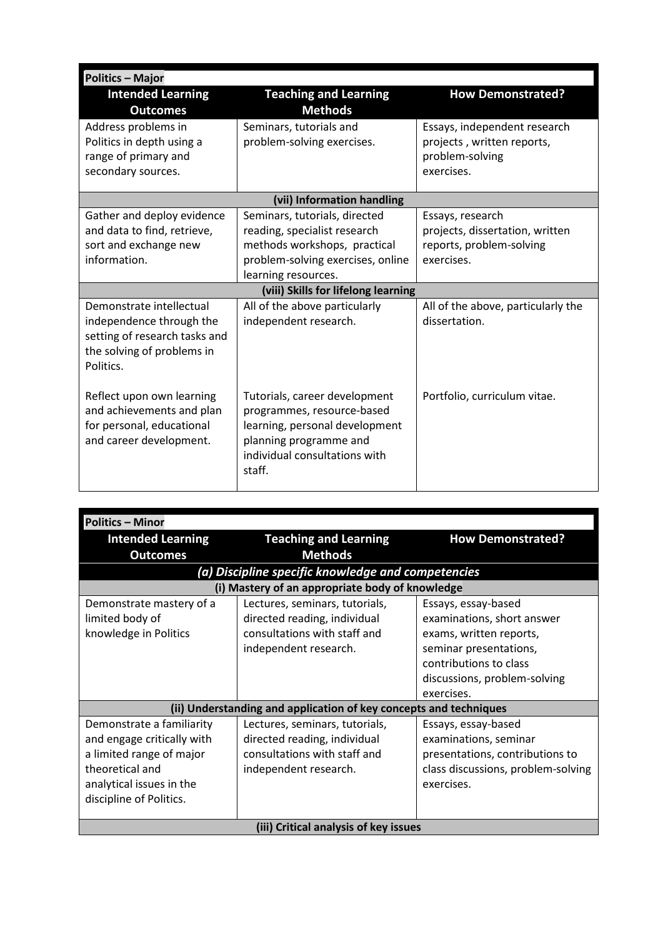| <b>Politics - Major</b>                                |                                                             |                                    |
|--------------------------------------------------------|-------------------------------------------------------------|------------------------------------|
| <b>Intended Learning</b><br><b>Outcomes</b>            | <b>Teaching and Learning</b><br><b>Methods</b>              | <b>How Demonstrated?</b>           |
| Address problems in                                    | Seminars, tutorials and                                     | Essays, independent research       |
| Politics in depth using a                              | problem-solving exercises.                                  | projects, written reports,         |
| range of primary and                                   |                                                             | problem-solving                    |
| secondary sources.                                     |                                                             | exercises.                         |
|                                                        | (vii) Information handling                                  |                                    |
| Gather and deploy evidence                             | Seminars, tutorials, directed                               | Essays, research                   |
| and data to find, retrieve,                            | reading, specialist research                                | projects, dissertation, written    |
| sort and exchange new                                  | methods workshops, practical                                | reports, problem-solving           |
| information.                                           | problem-solving exercises, online                           | exercises.                         |
|                                                        | learning resources.                                         |                                    |
|                                                        | (viii) Skills for lifelong learning                         |                                    |
| Demonstrate intellectual                               | All of the above particularly                               | All of the above, particularly the |
| independence through the                               | independent research.                                       | dissertation.                      |
| setting of research tasks and                          |                                                             |                                    |
| the solving of problems in                             |                                                             |                                    |
| Politics.                                              |                                                             |                                    |
|                                                        |                                                             |                                    |
| Reflect upon own learning<br>and achievements and plan | Tutorials, career development<br>programmes, resource-based | Portfolio, curriculum vitae.       |
| for personal, educational                              | learning, personal development                              |                                    |
| and career development.                                | planning programme and                                      |                                    |
|                                                        | individual consultations with                               |                                    |
|                                                        | staff.                                                      |                                    |
|                                                        |                                                             |                                    |

| <b>Politics - Minor</b>                                                                                                                                       |                                                                                                                         |                                                                                                                                                                                |
|---------------------------------------------------------------------------------------------------------------------------------------------------------------|-------------------------------------------------------------------------------------------------------------------------|--------------------------------------------------------------------------------------------------------------------------------------------------------------------------------|
| <b>Intended Learning</b>                                                                                                                                      | <b>Teaching and Learning</b>                                                                                            | <b>How Demonstrated?</b>                                                                                                                                                       |
| <b>Outcomes</b>                                                                                                                                               | <b>Methods</b>                                                                                                          |                                                                                                                                                                                |
|                                                                                                                                                               | (a) Discipline specific knowledge and competencies                                                                      |                                                                                                                                                                                |
|                                                                                                                                                               | (i) Mastery of an appropriate body of knowledge                                                                         |                                                                                                                                                                                |
| Demonstrate mastery of a<br>limited body of<br>knowledge in Politics                                                                                          | Lectures, seminars, tutorials,<br>directed reading, individual<br>consultations with staff and<br>independent research. | Essays, essay-based<br>examinations, short answer<br>exams, written reports,<br>seminar presentations,<br>contributions to class<br>discussions, problem-solving<br>exercises. |
|                                                                                                                                                               | (ii) Understanding and application of key concepts and techniques                                                       |                                                                                                                                                                                |
| Demonstrate a familiarity<br>and engage critically with<br>a limited range of major<br>theoretical and<br>analytical issues in the<br>discipline of Politics. | Lectures, seminars, tutorials,<br>directed reading, individual<br>consultations with staff and<br>independent research. | Essays, essay-based<br>examinations, seminar<br>presentations, contributions to<br>class discussions, problem-solving<br>exercises.                                            |
| (iii) Critical analysis of key issues                                                                                                                         |                                                                                                                         |                                                                                                                                                                                |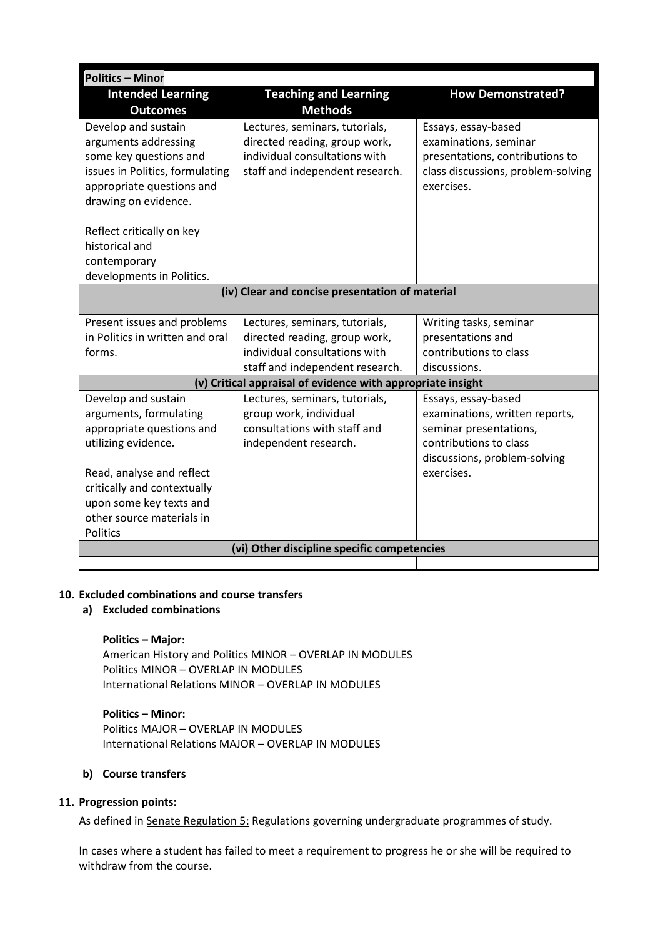| <b>Politics - Minor</b>                     |                                                                |                                                  |  |
|---------------------------------------------|----------------------------------------------------------------|--------------------------------------------------|--|
| <b>Intended Learning</b>                    | <b>Teaching and Learning</b>                                   | <b>How Demonstrated?</b>                         |  |
| <b>Outcomes</b>                             | <b>Methods</b>                                                 |                                                  |  |
| Develop and sustain                         | Lectures, seminars, tutorials,                                 | Essays, essay-based                              |  |
| arguments addressing                        | directed reading, group work,                                  | examinations, seminar                            |  |
| some key questions and                      | individual consultations with                                  | presentations, contributions to                  |  |
| issues in Politics, formulating             | staff and independent research.                                | class discussions, problem-solving               |  |
| appropriate questions and                   |                                                                | exercises.                                       |  |
| drawing on evidence.                        |                                                                |                                                  |  |
|                                             |                                                                |                                                  |  |
| Reflect critically on key                   |                                                                |                                                  |  |
| historical and                              |                                                                |                                                  |  |
| contemporary                                |                                                                |                                                  |  |
| developments in Politics.                   |                                                                |                                                  |  |
|                                             | (iv) Clear and concise presentation of material                |                                                  |  |
|                                             |                                                                |                                                  |  |
| Present issues and problems                 | Lectures, seminars, tutorials,                                 | Writing tasks, seminar                           |  |
| in Politics in written and oral             | directed reading, group work,<br>individual consultations with | presentations and                                |  |
| forms.                                      |                                                                | contributions to class<br>discussions.           |  |
|                                             | staff and independent research.                                |                                                  |  |
|                                             | (v) Critical appraisal of evidence with appropriate insight    |                                                  |  |
| Develop and sustain                         | Lectures, seminars, tutorials,                                 | Essays, essay-based                              |  |
| arguments, formulating                      | group work, individual<br>consultations with staff and         | examinations, written reports,                   |  |
| appropriate questions and                   |                                                                | seminar presentations,<br>contributions to class |  |
| utilizing evidence.                         | independent research.                                          |                                                  |  |
| Read, analyse and reflect                   |                                                                | discussions, problem-solving<br>exercises.       |  |
| critically and contextually                 |                                                                |                                                  |  |
| upon some key texts and                     |                                                                |                                                  |  |
| other source materials in                   |                                                                |                                                  |  |
| Politics                                    |                                                                |                                                  |  |
| (vi) Other discipline specific competencies |                                                                |                                                  |  |
|                                             |                                                                |                                                  |  |

### **10. Excluded combinations and course transfers**

# **a) Excluded combinations**

### **Politics – Major:**

American History and Politics MINOR – OVERLAP IN MODULES Politics MINOR – OVERLAP IN MODULES International Relations MINOR – OVERLAP IN MODULES

### **Politics – Minor:**

Politics MAJOR – OVERLAP IN MODULES International Relations MAJOR – OVERLAP IN MODULES

# **b) Course transfers**

### **11. Progression points:**

As defined i[n Senate Regulation 5:](http://www.le.ac.uk/senate-regulation5) Regulations governing undergraduate programmes of study.

In cases where a student has failed to meet a requirement to progress he or she will be required to withdraw from the course.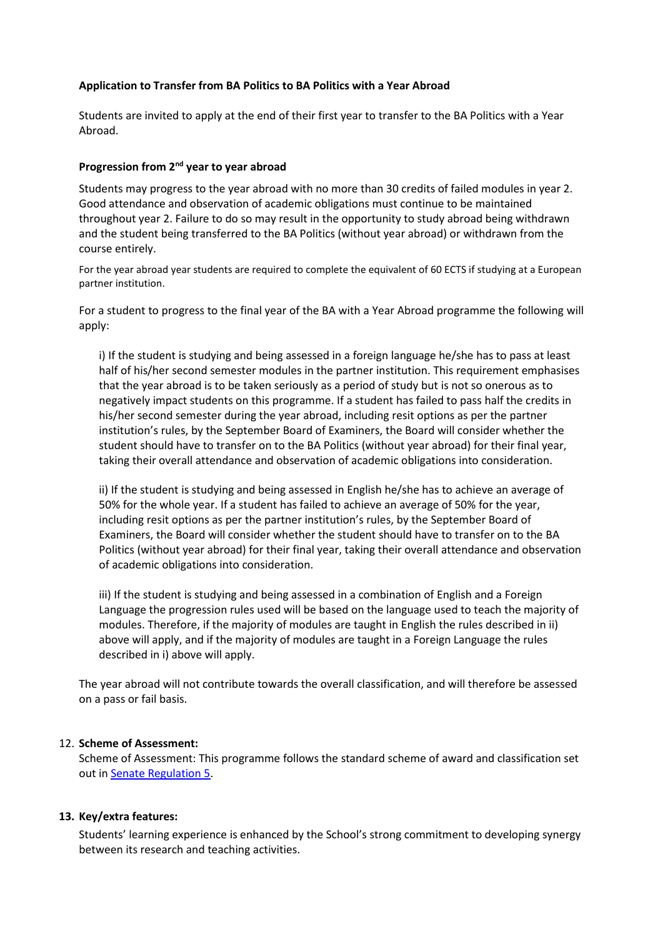### **Application to Transfer from BA Politics to BA Politics with a Year Abroad**

Students are invited to apply at the end of their first year to transfer to the BA Politics with a Year Abroad.

### **Progression from 2nd year to year abroad**

Students may progress to the year abroad with no more than 30 credits of failed modules in year 2. Good attendance and observation of academic obligations must continue to be maintained throughout year 2. Failure to do so may result in the opportunity to study abroad being withdrawn and the student being transferred to the BA Politics (without year abroad) or withdrawn from the course entirely.

For the year abroad year students are required to complete the equivalent of 60 ECTS if studying at a European partner institution.

For a student to progress to the final year of the BA with a Year Abroad programme the following will apply:

i) If the student is studying and being assessed in a foreign language he/she has to pass at least half of his/her second semester modules in the partner institution. This requirement emphasises that the year abroad is to be taken seriously as a period of study but is not so onerous as to negatively impact students on this programme. If a student has failed to pass half the credits in his/her second semester during the year abroad, including resit options as per the partner institution's rules, by the September Board of Examiners, the Board will consider whether the student should have to transfer on to the BA Politics (without year abroad) for their final year, taking their overall attendance and observation of academic obligations into consideration.

ii) If the student is studying and being assessed in English he/she has to achieve an average of 50% for the whole year. If a student has failed to achieve an average of 50% for the year, including resit options as per the partner institution's rules, by the September Board of Examiners, the Board will consider whether the student should have to transfer on to the BA Politics (without year abroad) for their final year, taking their overall attendance and observation of academic obligations into consideration.

iii) If the student is studying and being assessed in a combination of English and a Foreign Language the progression rules used will be based on the language used to teach the majority of modules. Therefore, if the majority of modules are taught in English the rules described in ii) above will apply, and if the majority of modules are taught in a Foreign Language the rules described in i) above will apply.

The year abroad will not contribute towards the overall classification, and will therefore be assessed on a pass or fail basis.

### 12. **Scheme of Assessment:**

Scheme of Assessment: This programme follows the standard scheme of award and classification set out i[n Senate Regulation 5.](http://www2.le.ac.uk/offices/sas2/regulations/documents/senatereg5-undergraduates.pdf)

### **13. Key/extra features:**

Students' learning experience is enhanced by the School's strong commitment to developing synergy between its research and teaching activities.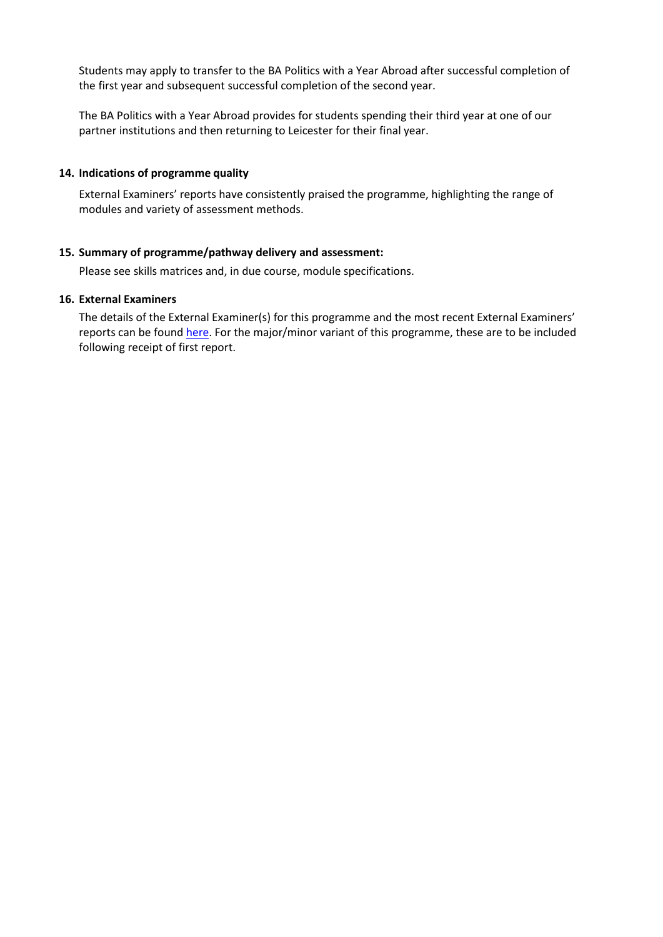Students may apply to transfer to the BA Politics with a Year Abroad after successful completion of the first year and subsequent successful completion of the second year.

The BA Politics with a Year Abroad provides for students spending their third year at one of our partner institutions and then returning to Leicester for their final year.

#### **14. Indications of programme quality**

External Examiners' reports have consistently praised the programme, highlighting the range of modules and variety of assessment methods.

#### **15. Summary of programme/pathway delivery and assessment:**

Please see skills matrices and, in due course, module specifications.

#### **16. External Examiners**

The details of the External Examiner(s) for this programme and the most recent External Examiners' reports can be found [here.](https://exampapers.le.ac.uk/xmlui/handle/123456789/227) For the major/minor variant of this programme, these are to be included following receipt of first report.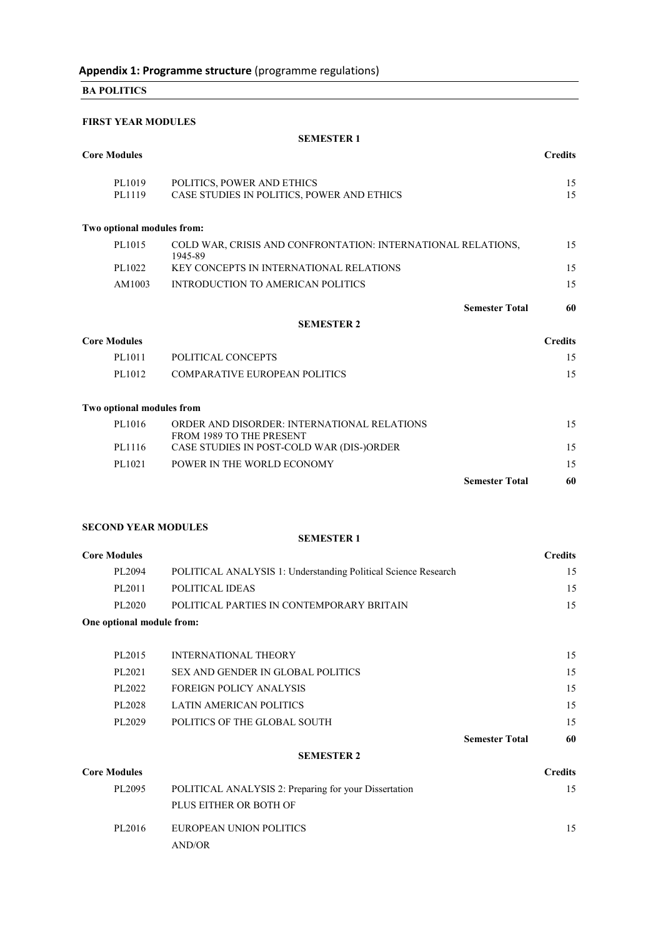**BA POLITICS**

#### **FIRST YEAR MODULES**

#### **SEMESTER 1**

| <b>Core Modules</b>        |                                                                          | <b>Credits</b> |
|----------------------------|--------------------------------------------------------------------------|----------------|
| PL1019<br>PL1119           | POLITICS, POWER AND ETHICS<br>CASE STUDIES IN POLITICS, POWER AND ETHICS | 15<br>15       |
| Two optional modules from: |                                                                          |                |
| PL1015                     | COLD WAR, CRISIS AND CONFRONTATION: INTERNATIONAL RELATIONS,<br>1945-89  | 15             |
| PL1022                     | <b>KEY CONCEPTS IN INTERNATIONAL RELATIONS</b>                           | 15             |
| AM1003                     | INTRODUCTION TO AMERICAN POLITICS                                        | 15             |
|                            | <b>Semester Total</b>                                                    | 60             |
|                            | <b>SEMESTER 2</b>                                                        |                |
| <b>Core Modules</b>        |                                                                          | <b>Credits</b> |
| PL1011                     | POLITICAL CONCEPTS                                                       | 15             |
| PL1012                     | <b>COMPARATIVE EUROPEAN POLITICS</b>                                     | 15             |
| Two optional modules from  |                                                                          |                |
| PL1016                     | ORDER AND DISORDER: INTERNATIONAL RELATIONS<br>FROM 1989 TO THE PRESENT  | 15             |
| PL1116                     | CASE STUDIES IN POST-COLD WAR (DIS-)ORDER                                | 15             |
| PL1021                     | POWER IN THE WORLD ECONOMY                                               | 15             |
|                            | <b>Semester Total</b>                                                    | 60             |

### **SECOND YEAR MODULES**

#### **SEMESTER 1**

| <b>Core Modules</b> |                                                                | <b>Credits</b> |
|---------------------|----------------------------------------------------------------|----------------|
| PL2094              | POLITICAL ANALYSIS 1: Understanding Political Science Research | 15             |
| PL2011              | POLITICAL IDEAS                                                | 15             |
| PL2020              | POLITICAL PARTIES IN CONTEMPORARY BRITAIN                      | 15             |
|                     |                                                                |                |

#### **One optional module from:**

|        |                                   | <b>Semester Total</b> | 60 |
|--------|-----------------------------------|-----------------------|----|
| PL2029 | POLITICS OF THE GLOBAL SOUTH      |                       | 15 |
| PL2028 | LATIN AMERICAN POLITICS           |                       | 15 |
| PL2022 | <b>FOREIGN POLICY ANALYSIS</b>    |                       | 15 |
| PL2021 | SEX AND GENDER IN GLOBAL POLITICS |                       | 15 |
| PL2015 | INTERNATIONAL THEORY              |                       | 15 |
|        |                                   |                       |    |

#### **SEMESTER 2**

| <b>Core Modules</b> |                                                       | <b>Credits</b> |
|---------------------|-------------------------------------------------------|----------------|
| PL2095              | POLITICAL ANALYSIS 2: Preparing for your Dissertation | 15             |
|                     | PLUS EITHER OR BOTH OF                                |                |
| PL2016              | EUROPEAN UNION POLITICS                               | 15             |
|                     | AND/OR                                                |                |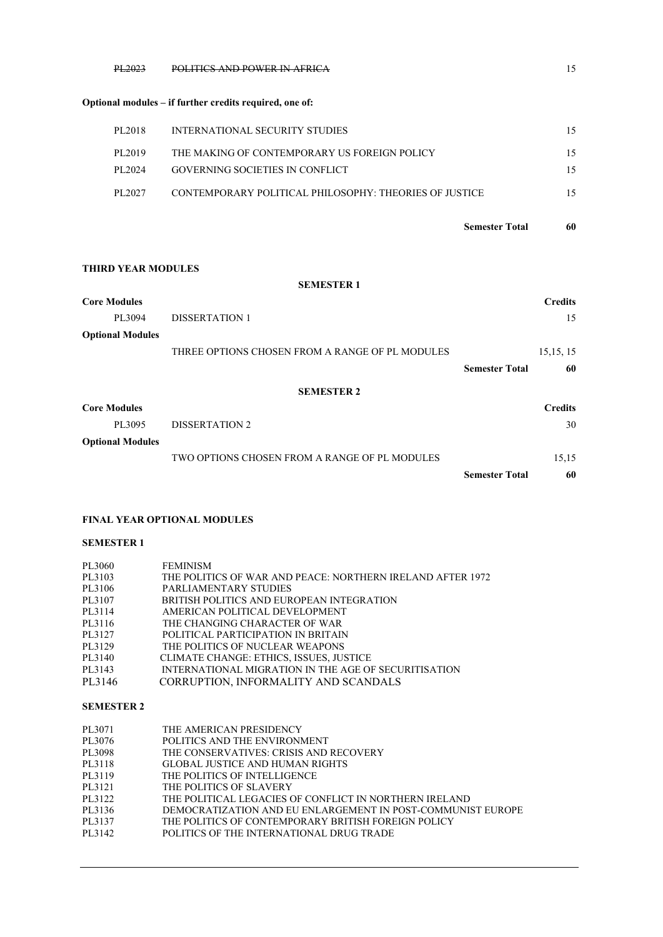#### PL2023 POLITICS AND POWER IN AFRICA 15

#### **Optional modules – if further credits required, one of:**

| PL2018 | INTERNATIONAL SECURITY STUDIES                         | 15 |
|--------|--------------------------------------------------------|----|
| PL2019 | THE MAKING OF CONTEMPORARY US FOREIGN POLICY           | 15 |
| PL2024 | GOVERNING SOCIETIES IN CONFLICT                        | 15 |
| PL2027 | CONTEMPORARY POLITICAL PHILOSOPHY: THEORIES OF JUSTICE | 15 |

**Semester Total 60**

#### **THIRD YEAR MODULES**

|                         | <b>SEMESTER 1</b>                               |                       |                |
|-------------------------|-------------------------------------------------|-----------------------|----------------|
| <b>Core Modules</b>     |                                                 |                       | <b>Credits</b> |
| PL3094                  | <b>DISSERTATION 1</b>                           |                       | 15             |
| <b>Optional Modules</b> |                                                 |                       |                |
|                         | THREE OPTIONS CHOSEN FROM A RANGE OF PL MODULES |                       | 15, 15, 15     |
|                         |                                                 | <b>Semester Total</b> | 60             |
|                         | <b>SEMESTER 2</b>                               |                       |                |
| <b>Core Modules</b>     |                                                 |                       | <b>Credits</b> |
| PL3095                  | <b>DISSERTATION 2</b>                           |                       | 30             |
| <b>Optional Modules</b> |                                                 |                       |                |
|                         | TWO OPTIONS CHOSEN FROM A RANGE OF PL MODULES   |                       | 15,15          |
|                         |                                                 | <b>Semester Total</b> | 60             |

#### **FINAL YEAR OPTIONAL MODULES**

#### **SEMESTER 1**

| PL3060 | <b>FEMINISM</b>                                            |
|--------|------------------------------------------------------------|
| PL3103 | THE POLITICS OF WAR AND PEACE: NORTHERN IRELAND AFTER 1972 |
| PL3106 | PARLIAMENTARY STUDIES                                      |
| PL3107 | BRITISH POLITICS AND EUROPEAN INTEGRATION                  |
| PL3114 | AMERICAN POLITICAL DEVELOPMENT                             |
| PL3116 | THE CHANGING CHARACTER OF WAR                              |
| PL3127 | POLITICAL PARTICIPATION IN BRITAIN                         |
| PL3129 | THE POLITICS OF NUCLEAR WEAPONS                            |
| PL3140 | CLIMATE CHANGE: ETHICS, ISSUES, JUSTICE                    |
| PL3143 | INTERNATIONAL MIGRATION IN THE AGE OF SECURITISATION       |
| PL3146 | CORRUPTION, INFORMALITY AND SCANDALS                       |
|        |                                                            |

#### **SEMESTER 2**

| PL3071 | THE AMERICAN PRESIDENCY                                     |
|--------|-------------------------------------------------------------|
| PL3076 | POLITICS AND THE ENVIRONMENT                                |
| PL3098 | THE CONSERVATIVES: CRISIS AND RECOVERY                      |
| PL3118 | <b>GLOBAL JUSTICE AND HUMAN RIGHTS</b>                      |
| PL3119 | THE POLITICS OF INTELLIGENCE                                |
| PL3121 | THE POLITICS OF SLAVERY                                     |
| PL3122 | THE POLITICAL LEGACIES OF CONFLICT IN NORTHERN IRELAND      |
| PL3136 | DEMOCRATIZATION AND EU ENLARGEMENT IN POST-COMMUNIST EUROPE |
| PL3137 | THE POLITICS OF CONTEMPORARY BRITISH FOREIGN POLICY         |
| PL3142 | POLITICS OF THE INTERNATIONAL DRUG TRADE                    |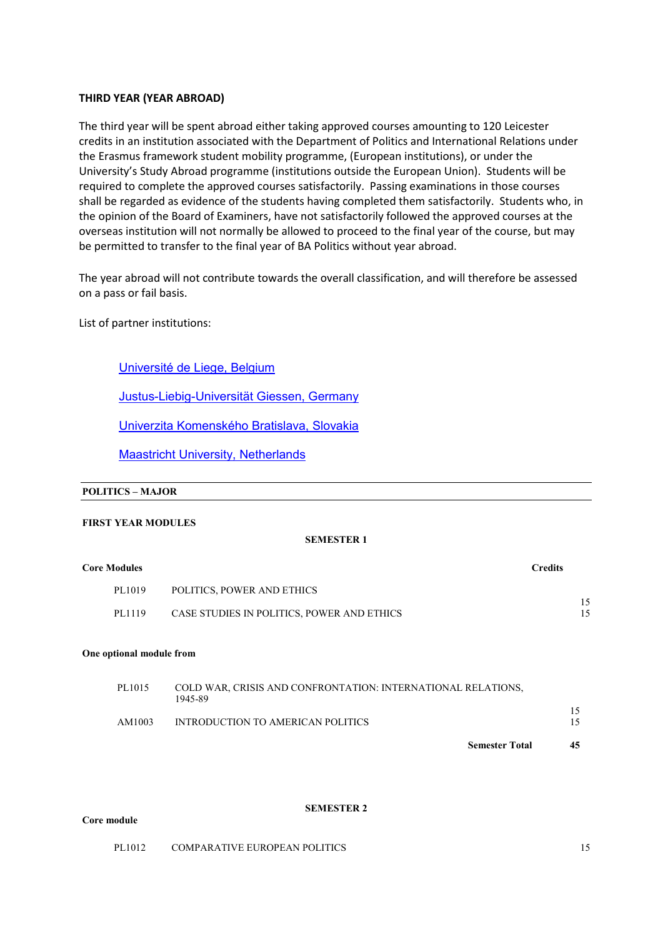#### **THIRD YEAR (YEAR ABROAD)**

The third year will be spent abroad either taking approved courses amounting to 120 Leicester credits in an institution associated with the Department of Politics and International Relations under the Erasmus framework student mobility programme, (European institutions), or under the University's Study Abroad programme (institutions outside the European Union). Students will be required to complete the approved courses satisfactorily. Passing examinations in those courses shall be regarded as evidence of the students having completed them satisfactorily. Students who, in the opinion of the Board of Examiners, have not satisfactorily followed the approved courses at the overseas institution will not normally be allowed to proceed to the final year of the course, but may be permitted to transfer to the final year of BA Politics without year abroad.

The year abroad will not contribute towards the overall classification, and will therefore be assessed on a pass or fail basis.

List of partner institutions:

[Université de Liege, Belgium](https://www.ulg.ac.be/cms/c_5000/en/home)

[Justus-Liebig-Universität Giessen, Germany](http://www.uni-giessen.de/) 

[Univerzita Komenského](http://www.uniba.sk/) Bratislava, Slovakia

[Maastricht University, Netherlands](http://www.maastrichtuniversity.nl/)

#### **POLITICS – MAJOR**

#### **FIRST YEAR MODULES**

#### **SEMESTER 1**

| <b>Core Modules</b> | Credits |
|---------------------|---------|
|---------------------|---------|

| PL1019 | POLITICS, POWER AND ETHICS                 |  |
|--------|--------------------------------------------|--|
| PL1119 | CASE STUDIES IN POLITICS, POWER AND ETHICS |  |

#### **One optional module from**

| PL1015 | COLD WAR, CRISIS AND CONFRONTATION: INTERNATIONAL RELATIONS,<br>1945-89 |  |
|--------|-------------------------------------------------------------------------|--|
|        |                                                                         |  |
| AM1003 | INTRODUCTION TO AMERICAN POLITICS                                       |  |
|        | ___                                                                     |  |

**Semester Total 45**

#### **Core module**

#### **SEMESTER 2**

PL1012 COMPARATIVE EUROPEAN POLITICS 15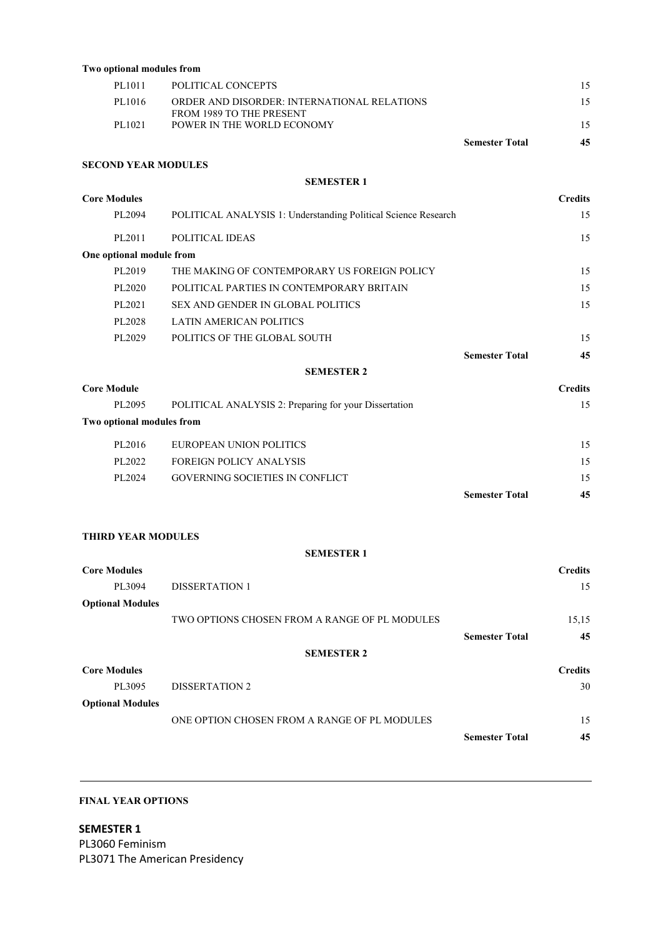| Two optional modules from |                                                                         |                       |    |
|---------------------------|-------------------------------------------------------------------------|-----------------------|----|
| PL1011                    | POLITICAL CONCEPTS                                                      |                       |    |
| PL1016                    | ORDER AND DISORDER: INTERNATIONAL RELATIONS<br>FROM 1989 TO THE PRESENT |                       |    |
| PL1021                    | POWER IN THE WORLD ECONOMY                                              |                       | 15 |
|                           |                                                                         | <b>Semester Total</b> | 45 |
|                           |                                                                         |                       |    |

#### **SECOND YEAR MODULES**

#### **SEMESTER 1**

| <b>Core Modules</b>       |                                                                | <b>Credits</b> |
|---------------------------|----------------------------------------------------------------|----------------|
| PL2094                    | POLITICAL ANALYSIS 1: Understanding Political Science Research | 15             |
| PL2011                    | POLITICAL IDEAS                                                | 15             |
| One optional module from  |                                                                |                |
| PL2019                    | THE MAKING OF CONTEMPORARY US FOREIGN POLICY                   | 15             |
| PL2020                    | POLITICAL PARTIES IN CONTEMPORARY BRITAIN                      | 15             |
| PL2021                    | <b>SEX AND GENDER IN GLOBAL POLITICS</b>                       | 15             |
| PL2028                    | <b>LATIN AMERICAN POLITICS</b>                                 |                |
| PL2029                    | POLITICS OF THE GLOBAL SOUTH                                   | 15             |
|                           | <b>Semester Total</b>                                          | 45             |
|                           | <b>SEMESTER 2</b>                                              |                |
| <b>Core Module</b>        |                                                                | <b>Credits</b> |
| PL2095                    | POLITICAL ANALYSIS 2: Preparing for your Dissertation          | 15             |
| Two optional modules from |                                                                |                |
| PL2016                    | EUROPEAN UNION POLITICS                                        | 15             |
| PL2022                    | <b>FOREIGN POLICY ANALYSIS</b>                                 | 15             |
| PL2024                    | GOVERNING SOCIETIES IN CONFLICT                                | 15             |

**THIRD YEAR MODULES**

**SEMESTER 1**

**Semester Total 45**

| <b>Core Modules</b>     |                                               |                       | <b>Credits</b> |  |
|-------------------------|-----------------------------------------------|-----------------------|----------------|--|
| PL3094                  | <b>DISSERTATION 1</b>                         |                       | 15             |  |
| <b>Optional Modules</b> |                                               |                       |                |  |
|                         | TWO OPTIONS CHOSEN FROM A RANGE OF PL MODULES |                       | 15,15          |  |
|                         |                                               | <b>Semester Total</b> | 45             |  |
| <b>SEMESTER 2</b>       |                                               |                       |                |  |
| <b>Core Modules</b>     |                                               |                       | <b>Credits</b> |  |
| PL3095                  | <b>DISSERTATION 2</b>                         |                       | 30             |  |
| <b>Optional Modules</b> |                                               |                       |                |  |
|                         | ONE OPTION CHOSEN FROM A RANGE OF PL MODULES  |                       | 15             |  |
|                         |                                               | <b>Semester Total</b> | 45             |  |

### **FINAL YEAR OPTIONS**

**SEMESTER 1** PL3060 Feminism PL3071 The American Presidency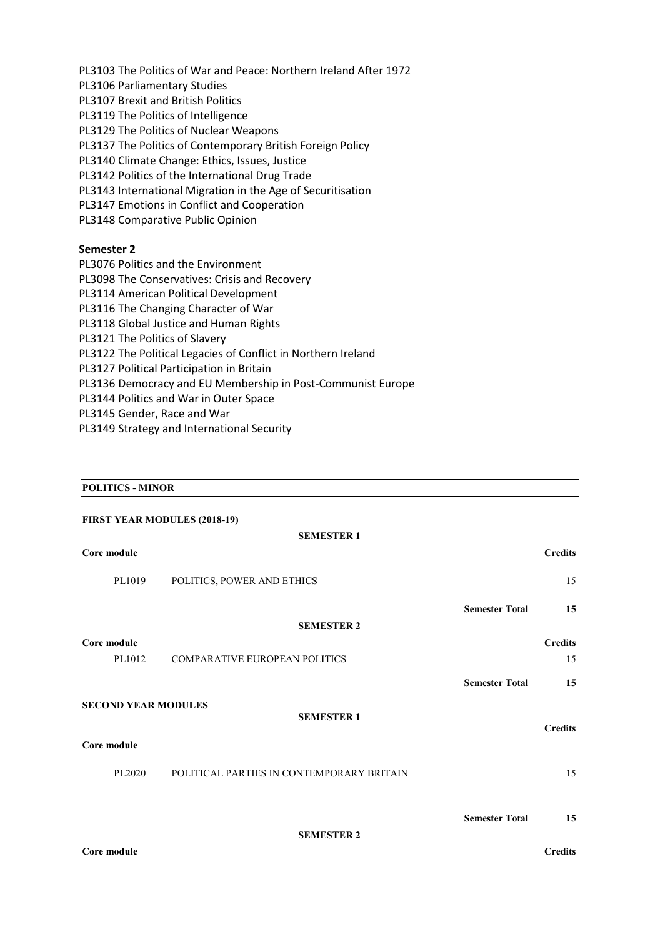PL3103 The Politics of War and Peace: Northern Ireland After 1972 PL3106 Parliamentary Studies PL3107 Brexit and British Politics PL3119 The Politics of Intelligence PL3129 The Politics of Nuclear Weapons PL3137 The Politics of Contemporary British Foreign Policy PL3140 Climate Change: Ethics, Issues, Justice PL3142 Politics of the International Drug Trade PL3143 International Migration in the Age of Securitisation PL3147 Emotions in Conflict and Cooperation PL3148 Comparative Public Opinion

### **Semester 2**

PL3076 Politics and the Environment

PL3098 The Conservatives: Crisis and Recovery

PL3114 American Political Development

- PL3116 The Changing Character of War
- PL3118 Global Justice and Human Rights
- PL3121 The Politics of Slavery
- PL3122 The Political Legacies of Conflict in Northern Ireland
- PL3127 Political Participation in Britain

PL3136 Democracy and EU Membership in Post-Communist Europe

- PL3144 Politics and War in Outer Space
- PL3145 Gender, Race and War
- PL3149 Strategy and International Security

#### **POLITICS - MINOR**

| <b>FIRST YEAR MODULES (2018-19)</b> |                                           |                       |                |  |
|-------------------------------------|-------------------------------------------|-----------------------|----------------|--|
|                                     | <b>SEMESTER 1</b>                         |                       |                |  |
| Core module                         |                                           |                       | <b>Credits</b> |  |
| PL1019                              | POLITICS, POWER AND ETHICS                |                       | 15             |  |
|                                     |                                           | <b>Semester Total</b> | 15             |  |
|                                     | <b>SEMESTER 2</b>                         |                       |                |  |
| Core module                         |                                           |                       | <b>Credits</b> |  |
| PL1012                              | <b>COMPARATIVE EUROPEAN POLITICS</b>      |                       | 15             |  |
|                                     |                                           | <b>Semester Total</b> | 15             |  |
| <b>SECOND YEAR MODULES</b>          |                                           |                       |                |  |
|                                     | <b>SEMESTER 1</b>                         |                       | <b>Credits</b> |  |
| Core module                         |                                           |                       |                |  |
| PL2020                              | POLITICAL PARTIES IN CONTEMPORARY BRITAIN |                       | 15             |  |
|                                     |                                           |                       |                |  |
|                                     |                                           | <b>Semester Total</b> | 15             |  |
| <b>SEMESTER 2</b>                   |                                           |                       |                |  |